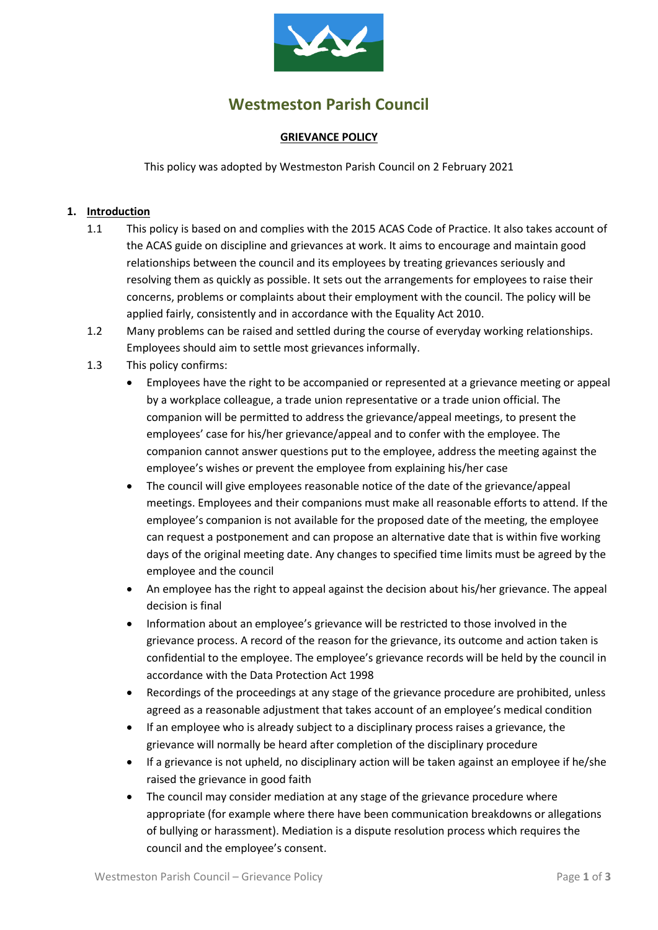

# **Westmeston Parish Council**

#### **GRIEVANCE POLICY**

This policy was adopted by Westmeston Parish Council on 2 February 2021

#### **1. Introduction**

- 1.1 This policy is based on and complies with the 2015 ACAS Code of Practice. It also takes account of the ACAS guide on discipline and grievances at work. It aims to encourage and maintain good relationships between the council and its employees by treating grievances seriously and resolving them as quickly as possible. It sets out the arrangements for employees to raise their concerns, problems or complaints about their employment with the council. The policy will be applied fairly, consistently and in accordance with the Equality Act 2010.
- 1.2 Many problems can be raised and settled during the course of everyday working relationships. Employees should aim to settle most grievances informally.
- 1.3 This policy confirms:
	- Employees have the right to be accompanied or represented at a grievance meeting or appeal by a workplace colleague, a trade union representative or a trade union official. The companion will be permitted to address the grievance/appeal meetings, to present the employees' case for his/her grievance/appeal and to confer with the employee. The companion cannot answer questions put to the employee, address the meeting against the employee's wishes or prevent the employee from explaining his/her case
	- The council will give employees reasonable notice of the date of the grievance/appeal meetings. Employees and their companions must make all reasonable efforts to attend. If the employee's companion is not available for the proposed date of the meeting, the employee can request a postponement and can propose an alternative date that is within five working days of the original meeting date. Any changes to specified time limits must be agreed by the employee and the council
	- An employee has the right to appeal against the decision about his/her grievance. The appeal decision is final
	- Information about an employee's grievance will be restricted to those involved in the grievance process. A record of the reason for the grievance, its outcome and action taken is confidential to the employee. The employee's grievance records will be held by the council in accordance with the Data Protection Act 1998
	- Recordings of the proceedings at any stage of the grievance procedure are prohibited, unless agreed as a reasonable adjustment that takes account of an employee's medical condition
	- If an employee who is already subject to a disciplinary process raises a grievance, the grievance will normally be heard after completion of the disciplinary procedure
	- If a grievance is not upheld, no disciplinary action will be taken against an employee if he/she raised the grievance in good faith
	- The council may consider mediation at any stage of the grievance procedure where appropriate (for example where there have been communication breakdowns or allegations of bullying or harassment). Mediation is a dispute resolution process which requires the council and the employee's consent.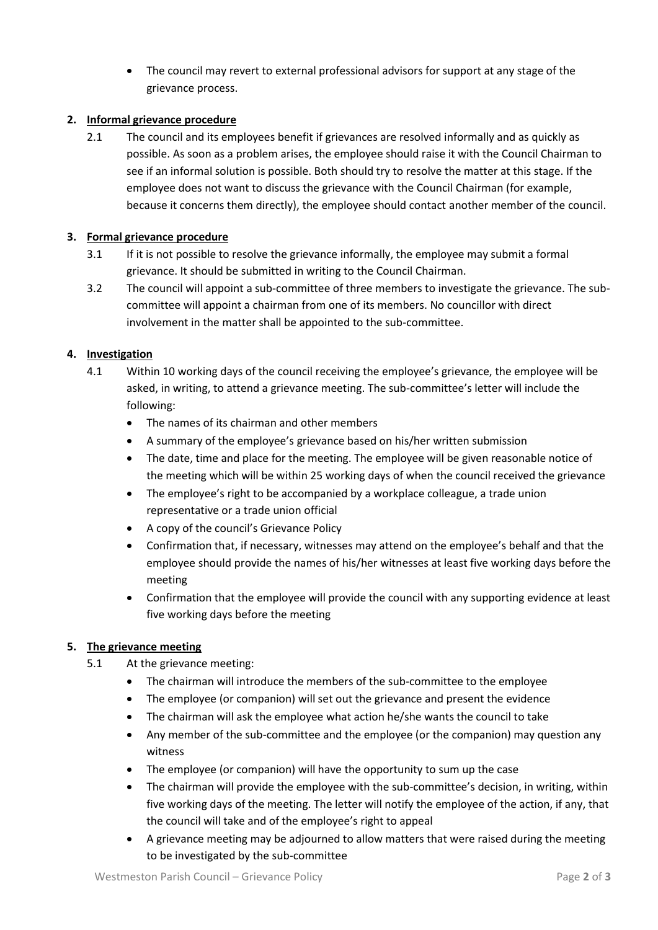• The council may revert to external professional advisors for support at any stage of the grievance process.

## **2. Informal grievance procedure**

2.1 The council and its employees benefit if grievances are resolved informally and as quickly as possible. As soon as a problem arises, the employee should raise it with the Council Chairman to see if an informal solution is possible. Both should try to resolve the matter at this stage. If the employee does not want to discuss the grievance with the Council Chairman (for example, because it concerns them directly), the employee should contact another member of the council.

#### **3. Formal grievance procedure**

- 3.1 If it is not possible to resolve the grievance informally, the employee may submit a formal grievance. It should be submitted in writing to the Council Chairman.
- 3.2 The council will appoint a sub-committee of three members to investigate the grievance. The subcommittee will appoint a chairman from one of its members. No councillor with direct involvement in the matter shall be appointed to the sub-committee.

## **4. Investigation**

- 4.1 Within 10 working days of the council receiving the employee's grievance, the employee will be asked, in writing, to attend a grievance meeting. The sub-committee's letter will include the following:
	- The names of its chairman and other members
	- A summary of the employee's grievance based on his/her written submission
	- The date, time and place for the meeting. The employee will be given reasonable notice of the meeting which will be within 25 working days of when the council received the grievance
	- The employee's right to be accompanied by a workplace colleague, a trade union representative or a trade union official
	- A copy of the council's Grievance Policy
	- Confirmation that, if necessary, witnesses may attend on the employee's behalf and that the employee should provide the names of his/her witnesses at least five working days before the meeting
	- Confirmation that the employee will provide the council with any supporting evidence at least five working days before the meeting

#### **5. The grievance meeting**

- 5.1 At the grievance meeting:
	- The chairman will introduce the members of the sub-committee to the employee
	- The employee (or companion) will set out the grievance and present the evidence
	- The chairman will ask the employee what action he/she wants the council to take
	- Any member of the sub-committee and the employee (or the companion) may question any witness
	- The employee (or companion) will have the opportunity to sum up the case
	- The chairman will provide the employee with the sub-committee's decision, in writing, within five working days of the meeting. The letter will notify the employee of the action, if any, that the council will take and of the employee's right to appeal
	- A grievance meeting may be adjourned to allow matters that were raised during the meeting to be investigated by the sub-committee